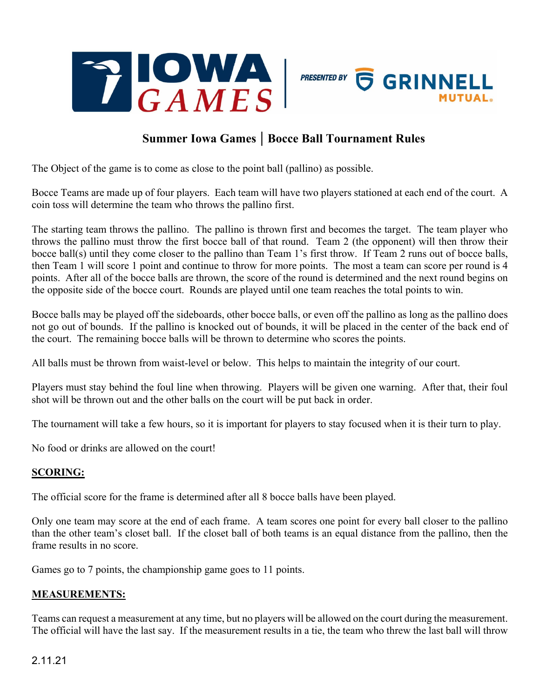



## **Summer Iowa Games | Bocce Ball Tournament Rules**

The Object of the game is to come as close to the point ball (pallino) as possible.

Bocce Teams are made up of four players. Each team will have two players stationed at each end of the court. A coin toss will determine the team who throws the pallino first.

The starting team throws the pallino. The pallino is thrown first and becomes the target. The team player who throws the pallino must throw the first bocce ball of that round. Team 2 (the opponent) will then throw their bocce ball(s) until they come closer to the pallino than Team 1's first throw. If Team 2 runs out of bocce balls, then Team 1 will score 1 point and continue to throw for more points. The most a team can score per round is 4 points. After all of the bocce balls are thrown, the score of the round is determined and the next round begins on the opposite side of the bocce court. Rounds are played until one team reaches the total points to win.

Bocce balls may be played off the sideboards, other bocce balls, or even off the pallino as long as the pallino does not go out of bounds. If the pallino is knocked out of bounds, it will be placed in the center of the back end of the court. The remaining bocce balls will be thrown to determine who scores the points.

All balls must be thrown from waist-level or below. This helps to maintain the integrity of our court.

Players must stay behind the foul line when throwing. Players will be given one warning. After that, their foul shot will be thrown out and the other balls on the court will be put back in order.

The tournament will take a few hours, so it is important for players to stay focused when it is their turn to play.

No food or drinks are allowed on the court!

## **SCORING:**

The official score for the frame is determined after all 8 bocce balls have been played.

Only one team may score at the end of each frame. A team scores one point for every ball closer to the pallino than the other team's closet ball. If the closet ball of both teams is an equal distance from the pallino, then the frame results in no score.

Games go to 7 points, the championship game goes to 11 points.

## **MEASUREMENTS:**

Teams can request a measurement at any time, but no players will be allowed on the court during the measurement. The official will have the last say. If the measurement results in a tie, the team who threw the last ball will throw